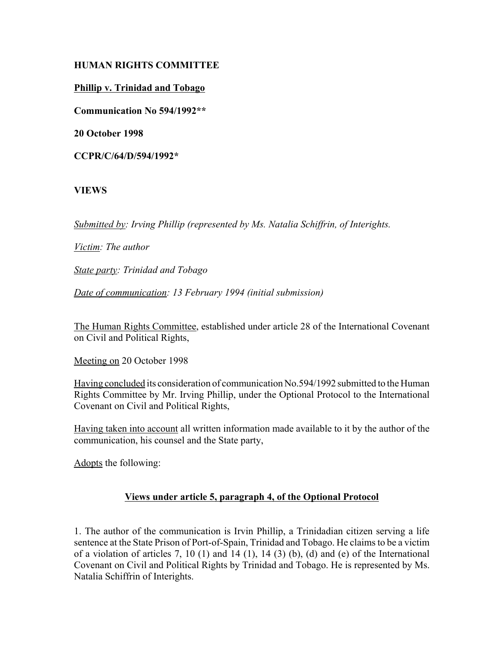## **HUMAN RIGHTS COMMITTEE**

## **Phillip v. Trinidad and Tobago**

**Communication No 594/1992\*\***

**20 October 1998**

**CCPR/C/64/D/594/1992\***

# **VIEWS**

*Submitted by: Irving Phillip (represented by Ms. Natalia Schiffrin, of Interights.* 

*Victim: The author* 

*State party: Trinidad and Tobago* 

*Date of communication: 13 February 1994 (initial submission)* 

The Human Rights Committee, established under article 28 of the International Covenant on Civil and Political Rights,

Meeting on 20 October 1998

Having concluded its consideration of communication No.594/1992 submitted to the Human Rights Committee by Mr. Irving Phillip, under the Optional Protocol to the International Covenant on Civil and Political Rights,

Having taken into account all written information made available to it by the author of the communication, his counsel and the State party,

Adopts the following:

# **Views under article 5, paragraph 4, of the Optional Protocol**

1. The author of the communication is Irvin Phillip, a Trinidadian citizen serving a life sentence at the State Prison of Port-of-Spain, Trinidad and Tobago. He claims to be a victim of a violation of articles 7, 10 (1) and 14 (1), 14 (3) (b), (d) and (e) of the International Covenant on Civil and Political Rights by Trinidad and Tobago. He is represented by Ms. Natalia Schiffrin of Interights.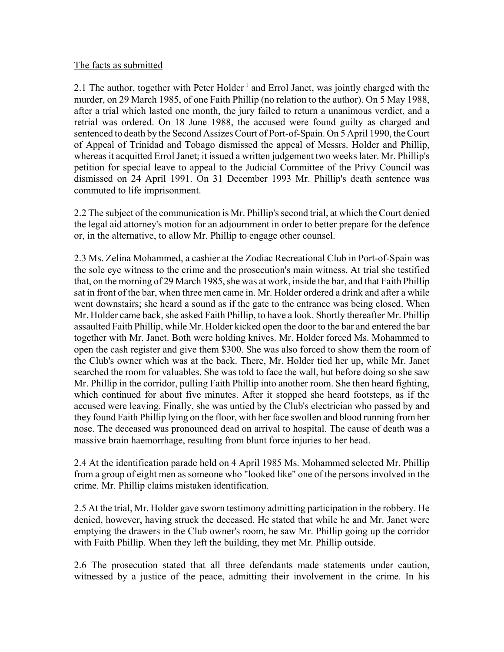#### The facts as submitted

2.1 The author, together with Peter Holder<sup>1</sup> and Errol Janet, was jointly charged with the murder, on 29 March 1985, of one Faith Phillip (no relation to the author). On 5 May 1988, after a trial which lasted one month, the jury failed to return a unanimous verdict, and a retrial was ordered. On 18 June 1988, the accused were found guilty as charged and sentenced to death by the Second Assizes Court of Port-of-Spain. On 5 April 1990, the Court of Appeal of Trinidad and Tobago dismissed the appeal of Messrs. Holder and Phillip, whereas it acquitted Errol Janet; it issued a written judgement two weeks later. Mr. Phillip's petition for special leave to appeal to the Judicial Committee of the Privy Council was dismissed on 24 April 1991. On 31 December 1993 Mr. Phillip's death sentence was commuted to life imprisonment.

2.2 The subject of the communication is Mr. Phillip's second trial, at which the Court denied the legal aid attorney's motion for an adjournment in order to better prepare for the defence or, in the alternative, to allow Mr. Phillip to engage other counsel.

2.3 Ms. Zelina Mohammed, a cashier at the Zodiac Recreational Club in Port-of-Spain was the sole eye witness to the crime and the prosecution's main witness. At trial she testified that, on the morning of 29 March 1985, she was at work, inside the bar, and that Faith Phillip sat in front of the bar, when three men came in. Mr. Holder ordered a drink and after a while went downstairs; she heard a sound as if the gate to the entrance was being closed. When Mr. Holder came back, she asked Faith Phillip, to have a look. Shortly thereafter Mr. Phillip assaulted Faith Phillip, while Mr. Holder kicked open the door to the bar and entered the bar together with Mr. Janet. Both were holding knives. Mr. Holder forced Ms. Mohammed to open the cash register and give them \$300. She was also forced to show them the room of the Club's owner which was at the back. There, Mr. Holder tied her up, while Mr. Janet searched the room for valuables. She was told to face the wall, but before doing so she saw Mr. Phillip in the corridor, pulling Faith Phillip into another room. She then heard fighting, which continued for about five minutes. After it stopped she heard footsteps, as if the accused were leaving. Finally, she was untied by the Club's electrician who passed by and they found Faith Phillip lying on the floor, with her face swollen and blood running from her nose. The deceased was pronounced dead on arrival to hospital. The cause of death was a massive brain haemorrhage, resulting from blunt force injuries to her head.

2.4 At the identification parade held on 4 April 1985 Ms. Mohammed selected Mr. Phillip from a group of eight men as someone who "looked like" one of the persons involved in the crime. Mr. Phillip claims mistaken identification.

2.5 At the trial, Mr. Holder gave sworn testimony admitting participation in the robbery. He denied, however, having struck the deceased. He stated that while he and Mr. Janet were emptying the drawers in the Club owner's room, he saw Mr. Phillip going up the corridor with Faith Phillip. When they left the building, they met Mr. Phillip outside.

2.6 The prosecution stated that all three defendants made statements under caution, witnessed by a justice of the peace, admitting their involvement in the crime. In his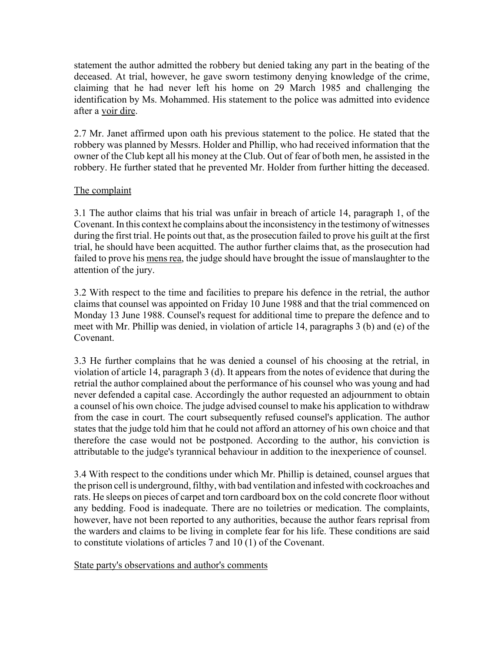statement the author admitted the robbery but denied taking any part in the beating of the deceased. At trial, however, he gave sworn testimony denying knowledge of the crime, claiming that he had never left his home on 29 March 1985 and challenging the identification by Ms. Mohammed. His statement to the police was admitted into evidence after a voir dire.

2.7 Mr. Janet affirmed upon oath his previous statement to the police. He stated that the robbery was planned by Messrs. Holder and Phillip, who had received information that the owner of the Club kept all his money at the Club. Out of fear of both men, he assisted in the robbery. He further stated that he prevented Mr. Holder from further hitting the deceased.

## The complaint

3.1 The author claims that his trial was unfair in breach of article 14, paragraph 1, of the Covenant. In this context he complains about the inconsistency in the testimony of witnesses during the first trial. He points out that, as the prosecution failed to prove his guilt at the first trial, he should have been acquitted. The author further claims that, as the prosecution had failed to prove his mens rea, the judge should have brought the issue of manslaughter to the attention of the jury.

3.2 With respect to the time and facilities to prepare his defence in the retrial, the author claims that counsel was appointed on Friday 10 June 1988 and that the trial commenced on Monday 13 June 1988. Counsel's request for additional time to prepare the defence and to meet with Mr. Phillip was denied, in violation of article 14, paragraphs 3 (b) and (e) of the Covenant.

3.3 He further complains that he was denied a counsel of his choosing at the retrial, in violation of article 14, paragraph 3 (d). It appears from the notes of evidence that during the retrial the author complained about the performance of his counsel who was young and had never defended a capital case. Accordingly the author requested an adjournment to obtain a counsel of his own choice. The judge advised counsel to make his application to withdraw from the case in court. The court subsequently refused counsel's application. The author states that the judge told him that he could not afford an attorney of his own choice and that therefore the case would not be postponed. According to the author, his conviction is attributable to the judge's tyrannical behaviour in addition to the inexperience of counsel.

3.4 With respect to the conditions under which Mr. Phillip is detained, counsel argues that the prison cell is underground, filthy, with bad ventilation and infested with cockroaches and rats. He sleeps on pieces of carpet and torn cardboard box on the cold concrete floor without any bedding. Food is inadequate. There are no toiletries or medication. The complaints, however, have not been reported to any authorities, because the author fears reprisal from the warders and claims to be living in complete fear for his life. These conditions are said to constitute violations of articles 7 and 10 (1) of the Covenant.

State party's observations and author's comments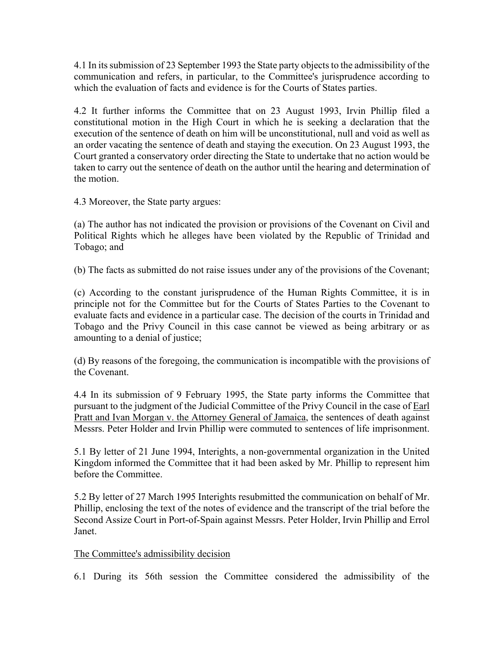4.1 In its submission of 23 September 1993 the State party objects to the admissibility of the communication and refers, in particular, to the Committee's jurisprudence according to which the evaluation of facts and evidence is for the Courts of States parties.

4.2 It further informs the Committee that on 23 August 1993, Irvin Phillip filed a constitutional motion in the High Court in which he is seeking a declaration that the execution of the sentence of death on him will be unconstitutional, null and void as well as an order vacating the sentence of death and staying the execution. On 23 August 1993, the Court granted a conservatory order directing the State to undertake that no action would be taken to carry out the sentence of death on the author until the hearing and determination of the motion.

4.3 Moreover, the State party argues:

(a) The author has not indicated the provision or provisions of the Covenant on Civil and Political Rights which he alleges have been violated by the Republic of Trinidad and Tobago; and

(b) The facts as submitted do not raise issues under any of the provisions of the Covenant;

(c) According to the constant jurisprudence of the Human Rights Committee, it is in principle not for the Committee but for the Courts of States Parties to the Covenant to evaluate facts and evidence in a particular case. The decision of the courts in Trinidad and Tobago and the Privy Council in this case cannot be viewed as being arbitrary or as amounting to a denial of justice;

(d) By reasons of the foregoing, the communication is incompatible with the provisions of the Covenant.

4.4 In its submission of 9 February 1995, the State party informs the Committee that pursuant to the judgment of the Judicial Committee of the Privy Council in the case of Earl Pratt and Ivan Morgan v. the Attorney General of Jamaica, the sentences of death against Messrs. Peter Holder and Irvin Phillip were commuted to sentences of life imprisonment.

5.1 By letter of 21 June 1994, Interights, a non-governmental organization in the United Kingdom informed the Committee that it had been asked by Mr. Phillip to represent him before the Committee.

5.2 By letter of 27 March 1995 Interights resubmitted the communication on behalf of Mr. Phillip, enclosing the text of the notes of evidence and the transcript of the trial before the Second Assize Court in Port-of-Spain against Messrs. Peter Holder, Irvin Phillip and Errol Janet.

## The Committee's admissibility decision

6.1 During its 56th session the Committee considered the admissibility of the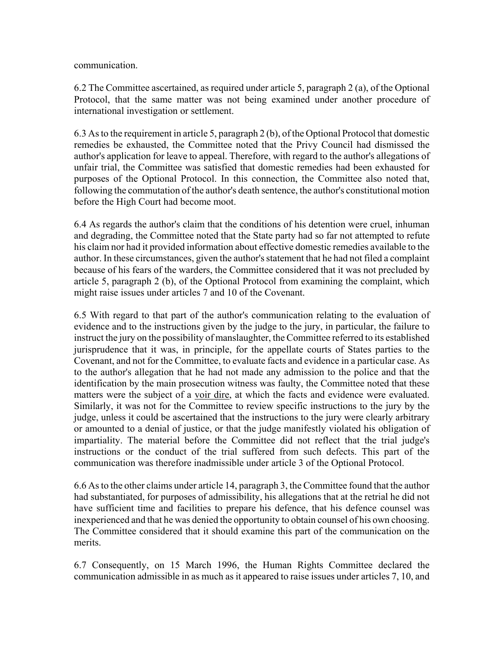communication.

6.2 The Committee ascertained, as required under article 5, paragraph 2 (a), of the Optional Protocol, that the same matter was not being examined under another procedure of international investigation or settlement.

6.3 As to the requirement in article 5, paragraph 2 (b), of the Optional Protocol that domestic remedies be exhausted, the Committee noted that the Privy Council had dismissed the author's application for leave to appeal. Therefore, with regard to the author's allegations of unfair trial, the Committee was satisfied that domestic remedies had been exhausted for purposes of the Optional Protocol. In this connection, the Committee also noted that, following the commutation of the author's death sentence, the author's constitutional motion before the High Court had become moot.

6.4 As regards the author's claim that the conditions of his detention were cruel, inhuman and degrading, the Committee noted that the State party had so far not attempted to refute his claim nor had it provided information about effective domestic remedies available to the author. In these circumstances, given the author's statement that he had not filed a complaint because of his fears of the warders, the Committee considered that it was not precluded by article 5, paragraph 2 (b), of the Optional Protocol from examining the complaint, which might raise issues under articles 7 and 10 of the Covenant.

6.5 With regard to that part of the author's communication relating to the evaluation of evidence and to the instructions given by the judge to the jury, in particular, the failure to instruct the jury on the possibility of manslaughter, the Committee referred to its established jurisprudence that it was, in principle, for the appellate courts of States parties to the Covenant, and not for the Committee, to evaluate facts and evidence in a particular case. As to the author's allegation that he had not made any admission to the police and that the identification by the main prosecution witness was faulty, the Committee noted that these matters were the subject of a voir dire, at which the facts and evidence were evaluated. Similarly, it was not for the Committee to review specific instructions to the jury by the judge, unless it could be ascertained that the instructions to the jury were clearly arbitrary or amounted to a denial of justice, or that the judge manifestly violated his obligation of impartiality. The material before the Committee did not reflect that the trial judge's instructions or the conduct of the trial suffered from such defects. This part of the communication was therefore inadmissible under article 3 of the Optional Protocol.

6.6 As to the other claims under article 14, paragraph 3, the Committee found that the author had substantiated, for purposes of admissibility, his allegations that at the retrial he did not have sufficient time and facilities to prepare his defence, that his defence counsel was inexperienced and that he was denied the opportunity to obtain counsel of his own choosing. The Committee considered that it should examine this part of the communication on the merits.

6.7 Consequently, on 15 March 1996, the Human Rights Committee declared the communication admissible in as much as it appeared to raise issues under articles 7, 10, and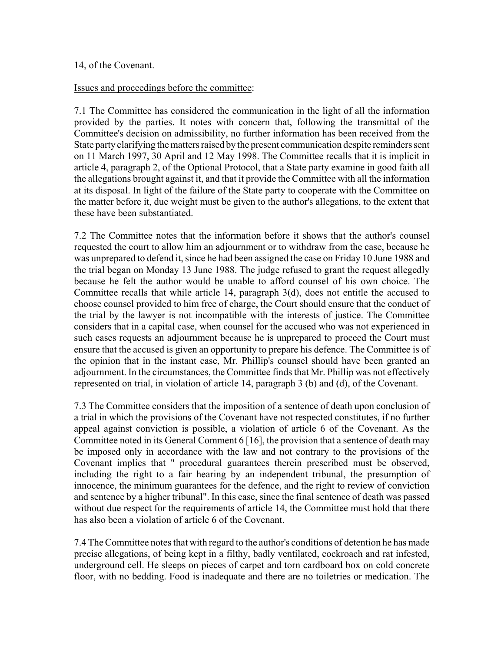#### 14, of the Covenant.

#### Issues and proceedings before the committee:

7.1 The Committee has considered the communication in the light of all the information provided by the parties. It notes with concern that, following the transmittal of the Committee's decision on admissibility, no further information has been received from the State party clarifying the matters raised by the present communication despite reminders sent on 11 March 1997, 30 April and 12 May 1998. The Committee recalls that it is implicit in article 4, paragraph 2, of the Optional Protocol, that a State party examine in good faith all the allegations brought against it, and that it provide the Committee with all the information at its disposal. In light of the failure of the State party to cooperate with the Committee on the matter before it, due weight must be given to the author's allegations, to the extent that these have been substantiated.

7.2 The Committee notes that the information before it shows that the author's counsel requested the court to allow him an adjournment or to withdraw from the case, because he was unprepared to defend it, since he had been assigned the case on Friday 10 June 1988 and the trial began on Monday 13 June 1988. The judge refused to grant the request allegedly because he felt the author would be unable to afford counsel of his own choice. The Committee recalls that while article 14, paragraph 3(d), does not entitle the accused to choose counsel provided to him free of charge, the Court should ensure that the conduct of the trial by the lawyer is not incompatible with the interests of justice. The Committee considers that in a capital case, when counsel for the accused who was not experienced in such cases requests an adjournment because he is unprepared to proceed the Court must ensure that the accused is given an opportunity to prepare his defence. The Committee is of the opinion that in the instant case, Mr. Phillip's counsel should have been granted an adjournment. In the circumstances, the Committee finds that Mr. Phillip was not effectively represented on trial, in violation of article 14, paragraph 3 (b) and (d), of the Covenant.

7.3 The Committee considers that the imposition of a sentence of death upon conclusion of a trial in which the provisions of the Covenant have not respected constitutes, if no further appeal against conviction is possible, a violation of article 6 of the Covenant. As the Committee noted in its General Comment 6 [16], the provision that a sentence of death may be imposed only in accordance with the law and not contrary to the provisions of the Covenant implies that " procedural guarantees therein prescribed must be observed, including the right to a fair hearing by an independent tribunal, the presumption of innocence, the minimum guarantees for the defence, and the right to review of conviction and sentence by a higher tribunal". In this case, since the final sentence of death was passed without due respect for the requirements of article 14, the Committee must hold that there has also been a violation of article 6 of the Covenant.

7.4 The Committee notes that with regard to the author's conditions of detention he has made precise allegations, of being kept in a filthy, badly ventilated, cockroach and rat infested, underground cell. He sleeps on pieces of carpet and torn cardboard box on cold concrete floor, with no bedding. Food is inadequate and there are no toiletries or medication. The